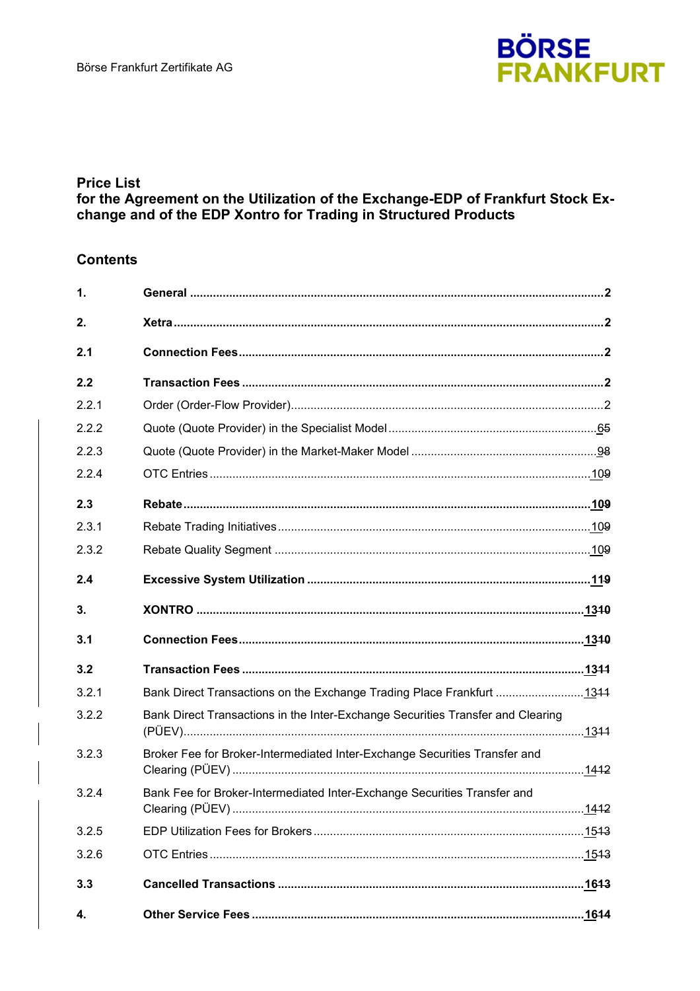

# **Price List**

# for the Agreement on the Utilization of the Exchange-EDP of Frankfurt Stock Exchange and of the EDP Xontro for Trading in Structured Products

# **Contents**

| 1.    |                                                                                 |
|-------|---------------------------------------------------------------------------------|
| 2.    |                                                                                 |
| 2.1   |                                                                                 |
| 2.2   |                                                                                 |
| 2.2.1 |                                                                                 |
| 2.2.2 |                                                                                 |
| 2.2.3 |                                                                                 |
| 2.2.4 |                                                                                 |
| 2.3   |                                                                                 |
| 2.3.1 |                                                                                 |
| 2.3.2 |                                                                                 |
| 2.4   |                                                                                 |
| 3.    |                                                                                 |
| 3.1   |                                                                                 |
| 3.2   |                                                                                 |
| 3.2.1 | Bank Direct Transactions on the Exchange Trading Place Frankfurt 1344           |
| 3.2.2 | Bank Direct Transactions in the Inter-Exchange Securities Transfer and Clearing |
| 3.2.3 | Broker Fee for Broker-Intermediated Inter-Exchange Securities Transfer and      |
| 3.2.4 | Bank Fee for Broker-Intermediated Inter-Exchange Securities Transfer and        |
| 3.2.5 |                                                                                 |
| 3.2.6 |                                                                                 |
| 3.3   | . <u>16</u> 13                                                                  |
| 4.    | .1644                                                                           |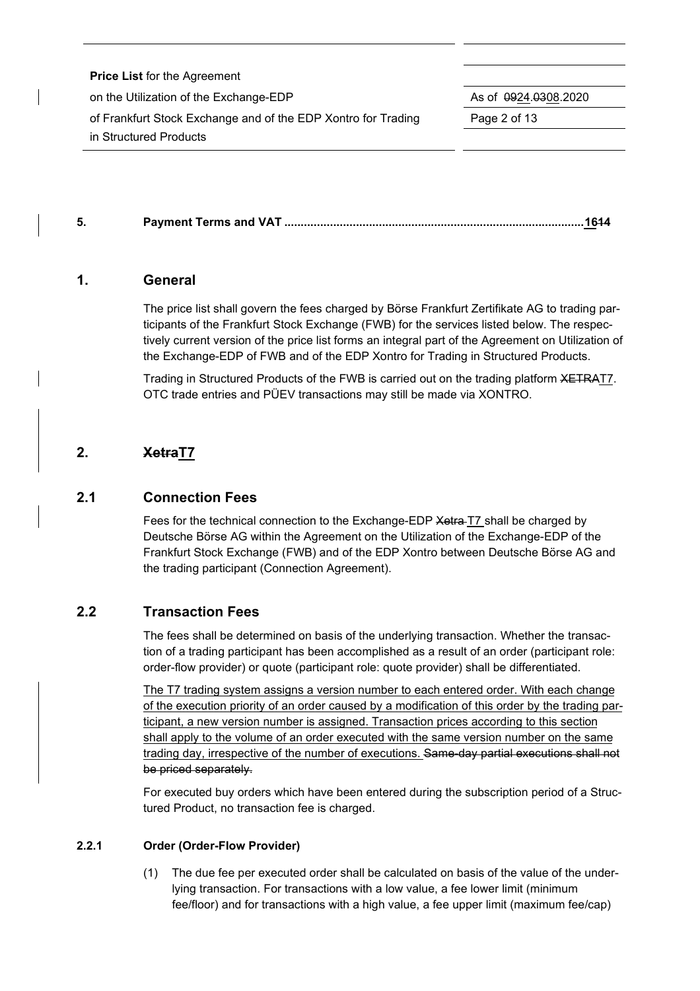| <b>Price List for the Agreement</b>                           |                                       |
|---------------------------------------------------------------|---------------------------------------|
| on the Utilization of the Exchange-EDP                        | As of $\sqrt{0.00000}$ 0924.0308.2020 |
| of Frankfurt Stock Exchange and of the EDP Xontro for Trading | Page 2 of 13                          |
| in Structured Products                                        |                                       |

**5. Payment Terms and VAT ............................................................................................1614**

# **1. General**

The price list shall govern the fees charged by Börse Frankfurt Zertifikate AG to trading participants of the Frankfurt Stock Exchange (FWB) for the services listed below. The respectively current version of the price list forms an integral part of the Agreement on Utilization of the Exchange-EDP of FWB and of the EDP Xontro for Trading in Structured Products.

Trading in Structured Products of the FWB is carried out on the trading platform XETRAT7. OTC trade entries and PÜEV transactions may still be made via XONTRO.

# **2. XetraT7**

# **2.1 Connection Fees**

Fees for the technical connection to the Exchange-EDP Xetra T7 shall be charged by Deutsche Börse AG within the Agreement on the Utilization of the Exchange-EDP of the Frankfurt Stock Exchange (FWB) and of the EDP Xontro between Deutsche Börse AG and the trading participant (Connection Agreement).

# **2.2 Transaction Fees**

The fees shall be determined on basis of the underlying transaction. Whether the transaction of a trading participant has been accomplished as a result of an order (participant role: order-flow provider) or quote (participant role: quote provider) shall be differentiated.

The T7 trading system assigns a version number to each entered order. With each change of the execution priority of an order caused by a modification of this order by the trading participant, a new version number is assigned. Transaction prices according to this section shall apply to the volume of an order executed with the same version number on the same trading day, irrespective of the number of executions. Same-day partial executions shall not be priced separately.

For executed buy orders which have been entered during the subscription period of a Structured Product, no transaction fee is charged.

#### **2.2.1 Order (Order-Flow Provider)**

(1) The due fee per executed order shall be calculated on basis of the value of the underlying transaction. For transactions with a low value, a fee lower limit (minimum fee/floor) and for transactions with a high value, a fee upper limit (maximum fee/cap)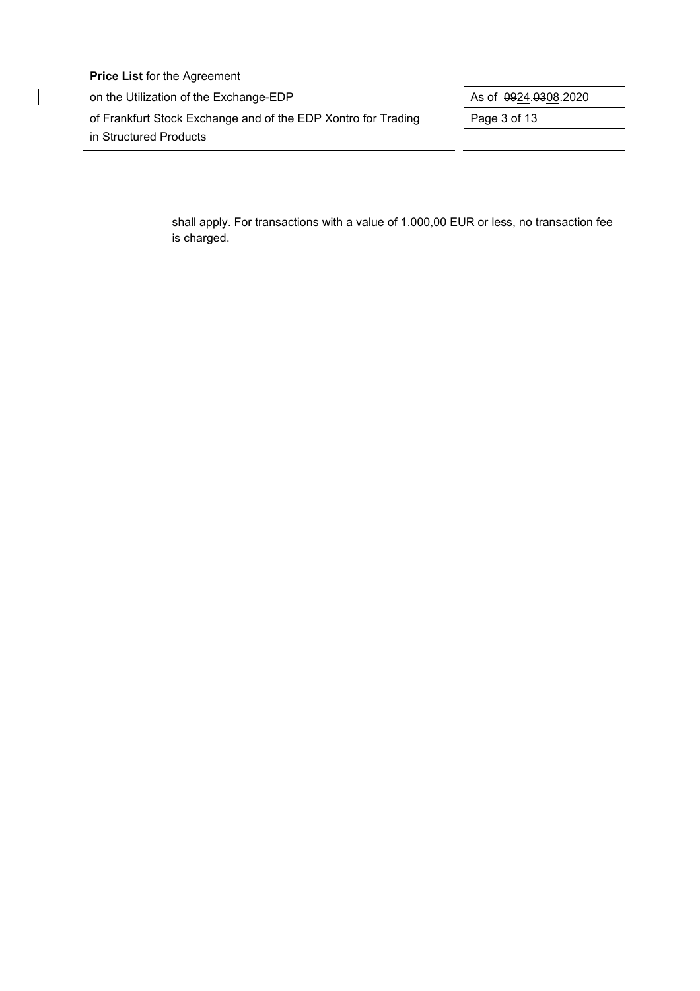| <b>Price List for the Agreement</b>                           |                                       |
|---------------------------------------------------------------|---------------------------------------|
| on the Utilization of the Exchange-EDP                        | As of $\sqrt{0.00000}$ 0924.0308.2020 |
| of Frankfurt Stock Exchange and of the EDP Xontro for Trading | Page 3 of 13                          |
| in Structured Products                                        |                                       |

 $\overline{\phantom{a}}$ 

shall apply. For transactions with a value of 1.000,00 EUR or less, no transaction fee is charged.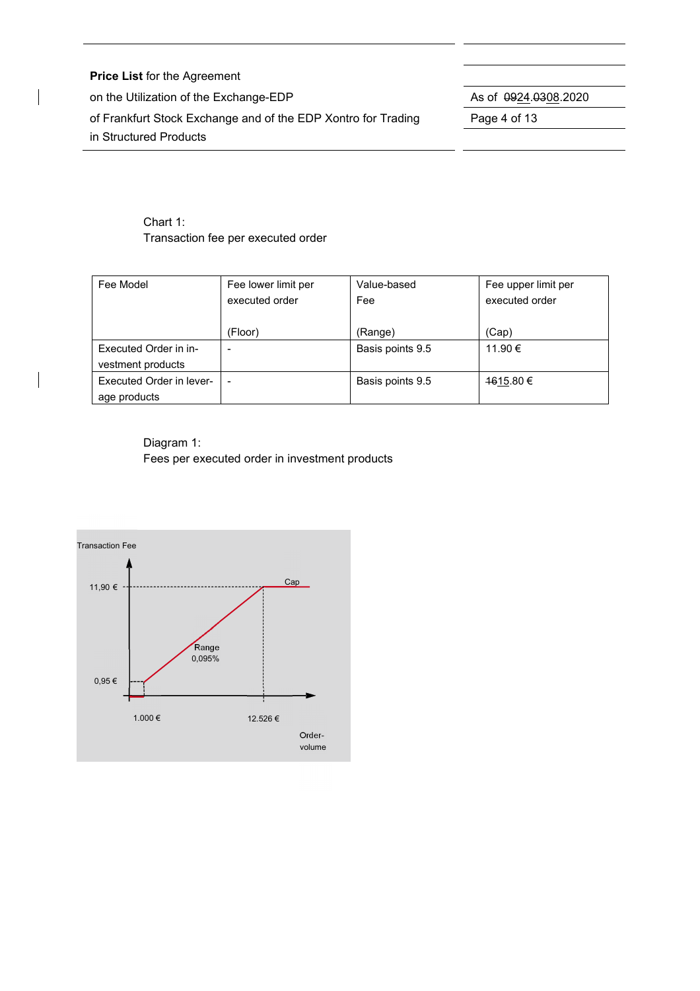**Price List** for the Agreement on the Utilization of the Exchange-EDP As of  $\frac{0.924}{0.308}$ .2020 of Frankfurt Stock Exchange and of the EDP Xontro for Trading Page 4 of 13 in Structured Products

# Chart 1: Transaction fee per executed order

| Fee Model                | Fee lower limit per | Value-based      | Fee upper limit per |
|--------------------------|---------------------|------------------|---------------------|
|                          | executed order      | Fee              | executed order      |
|                          |                     |                  |                     |
|                          | (Floor)             | (Range)          | (Cap)               |
| Executed Order in in-    |                     | Basis points 9.5 | 11.90 €             |
| vestment products        |                     |                  |                     |
| Executed Order in lever- |                     | Basis points 9.5 | 1615.80 €           |
| age products             |                     |                  |                     |

Diagram 1: Fees per executed order in investment products

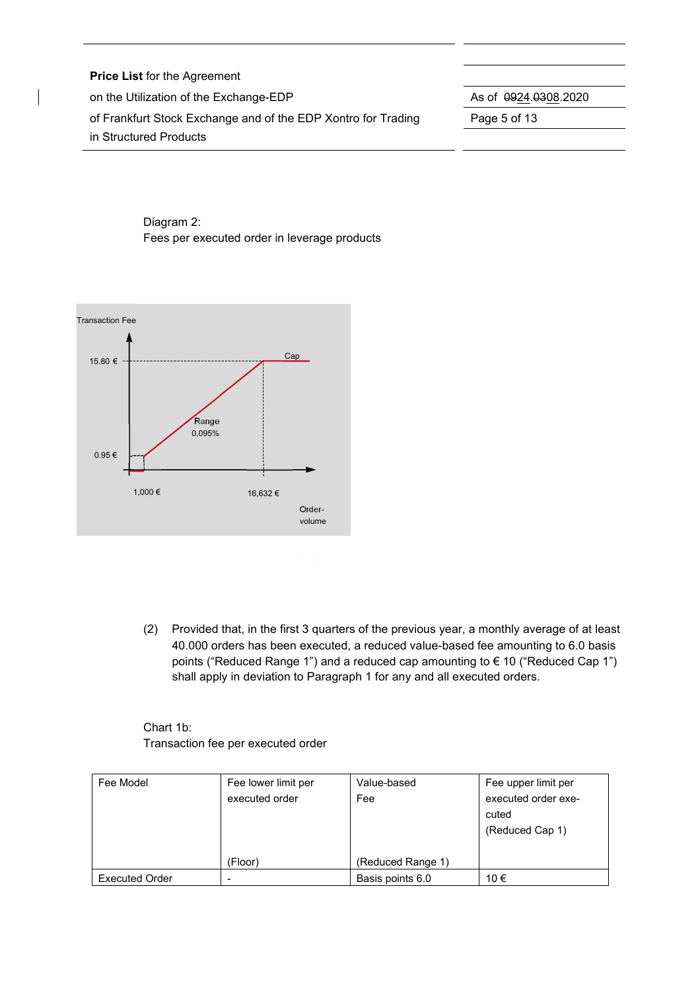| <b>Price List for the Agreement</b>                           |                                       |
|---------------------------------------------------------------|---------------------------------------|
| on the Utilization of the Exchange-EDP                        | As of $\sqrt{0.00000}$ 0924.0308.2020 |
| of Frankfurt Stock Exchange and of the EDP Xontro for Trading | Page 5 of 13                          |
| in Structured Products                                        |                                       |

# Diagram 2: Fees per executed order in leverage products



(2) Provided that, in the first 3 quarters of the previous year, a monthly average of at least 40.000 orders has been executed, a reduced value-based fee amounting to 6.0 basis points ("Reduced Range 1") and a reduced cap amounting to € 10 ("Reduced Cap 1") shall apply in deviation to Paragraph 1 for any and all executed orders.

Chart 1b: Transaction fee per executed order

| Fee Model             | Fee lower limit per | Value-based       | Fee upper limit per |
|-----------------------|---------------------|-------------------|---------------------|
|                       | executed order      | Fee               | executed order exe- |
|                       |                     |                   | cuted               |
|                       |                     |                   | (Reduced Cap 1)     |
|                       |                     |                   |                     |
|                       | (Floor)             | (Reduced Range 1) |                     |
| <b>Executed Order</b> |                     | Basis points 6.0  | 10 €                |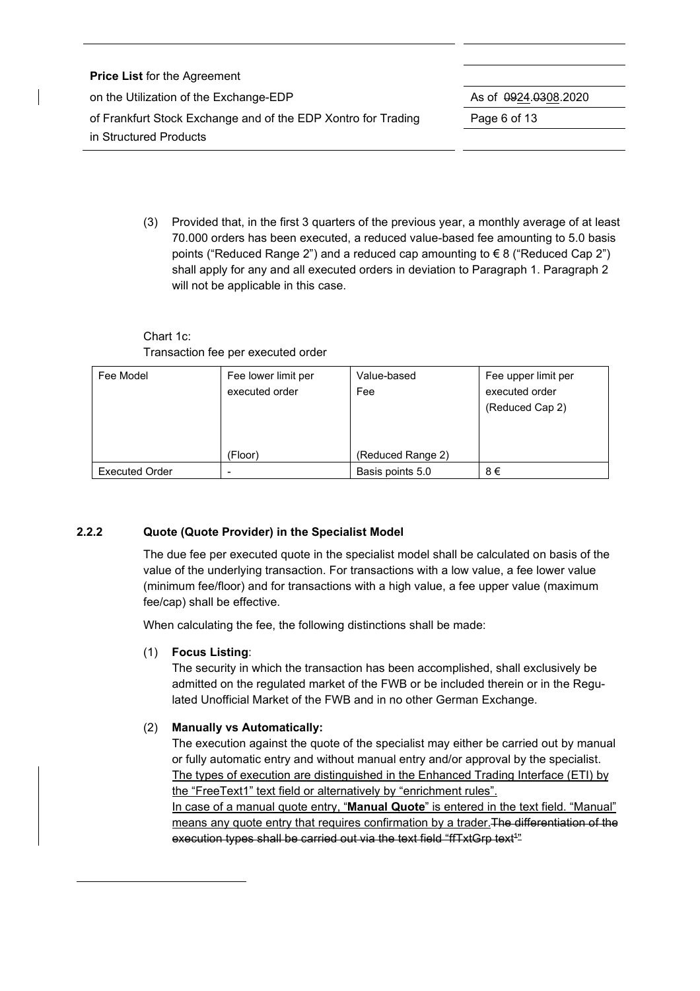| <b>Price List for the Agreement</b>                           |                              |
|---------------------------------------------------------------|------------------------------|
| on the Utilization of the Exchange-EDP                        | As of $\sqrt{0.0308}$ , 2020 |
| of Frankfurt Stock Exchange and of the EDP Xontro for Trading | Page 6 of 13                 |
| in Structured Products                                        |                              |

(3) Provided that, in the first 3 quarters of the previous year, a monthly average of at least 70.000 orders has been executed, a reduced value-based fee amounting to 5.0 basis points ("Reduced Range 2") and a reduced cap amounting to € 8 ("Reduced Cap 2") shall apply for any and all executed orders in deviation to Paragraph 1. Paragraph 2 will not be applicable in this case.

# Chart 1c: Transaction fee per executed order

| Fee Model             | Fee lower limit per | Value-based       | Fee upper limit per |
|-----------------------|---------------------|-------------------|---------------------|
|                       | executed order      | Fee               | executed order      |
|                       |                     |                   | (Reduced Cap 2)     |
|                       |                     |                   |                     |
|                       |                     |                   |                     |
|                       | (Floor)             | (Reduced Range 2) |                     |
| <b>Executed Order</b> |                     | Basis points 5.0  | 8€                  |

# **2.2.2 Quote (Quote Provider) in the Specialist Model**

The due fee per executed quote in the specialist model shall be calculated on basis of the value of the underlying transaction. For transactions with a low value, a fee lower value (minimum fee/floor) and for transactions with a high value, a fee upper value (maximum fee/cap) shall be effective.

When calculating the fee, the following distinctions shall be made:

# (1) **Focus Listing**:

The security in which the transaction has been accomplished, shall exclusively be admitted on the regulated market of the FWB or be included therein or in the Regulated Unofficial Market of the FWB and in no other German Exchange.

# (2) **Manually vs Automatically:**

The execution against the quote of the specialist may either be carried out by manual or fully automatic entry and without manual entry and/or approval by the specialist. The types of execution are distinguished in the Enhanced Trading Interface (ETI) by the "FreeText1" text field or alternatively by "enrichment rules".

In case of a manual quote entry, "**Manual Quote**" is entered in the text field. "Manual" means any quote entry that requires confirmation by a trader. The differentiation of the execution types shall be carried out via the text field "ffTxtGrp text<sup>4</sup>"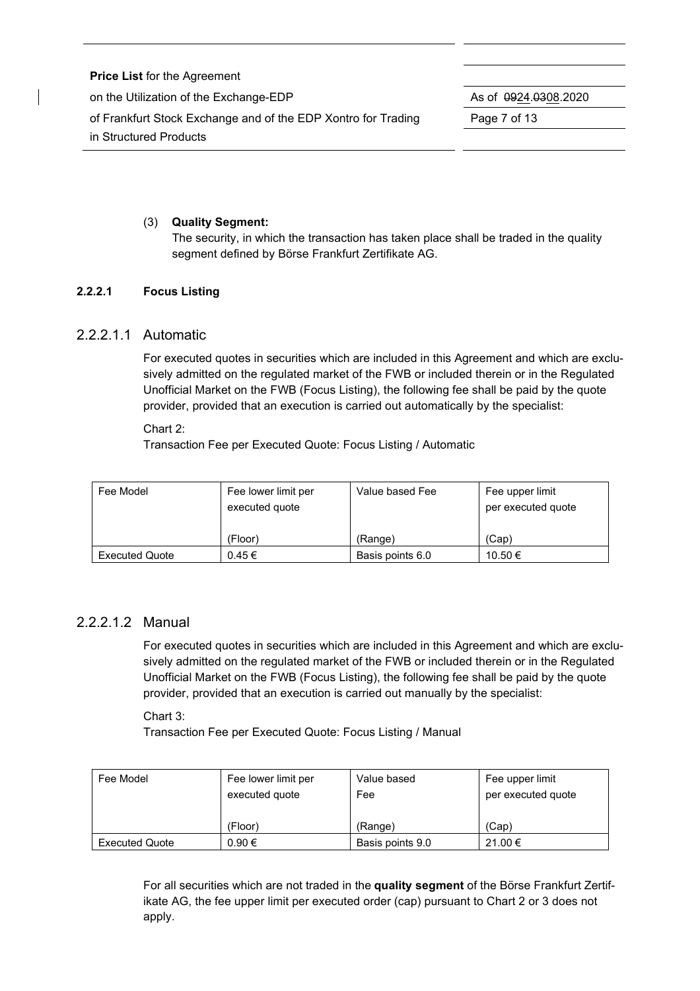| <b>Price List for the Agreement</b>                           |                                       |
|---------------------------------------------------------------|---------------------------------------|
| on the Utilization of the Exchange-EDP                        | As of $\sqrt{0.00000}$ 0924.0308.2020 |
| of Frankfurt Stock Exchange and of the EDP Xontro for Trading | Page 7 of 13                          |
| in Structured Products                                        |                                       |

# (3) **Quality Segment:**

The security, in which the transaction has taken place shall be traded in the quality segment defined by Börse Frankfurt Zertifikate AG.

## **2.2.2.1 Focus Listing**

## 2.2.2.1.1 Automatic

For executed quotes in securities which are included in this Agreement and which are exclusively admitted on the regulated market of the FWB or included therein or in the Regulated Unofficial Market on the FWB (Focus Listing), the following fee shall be paid by the quote provider, provided that an execution is carried out automatically by the specialist:

Chart 2:

Transaction Fee per Executed Quote: Focus Listing / Automatic

| Fee Model             | Fee lower limit per<br>executed quote | Value based Fee  | Fee upper limit<br>per executed quote |
|-----------------------|---------------------------------------|------------------|---------------------------------------|
|                       | (Floor)                               | (Range)          | (Cap)                                 |
| <b>Executed Quote</b> | $0.45 \in$                            | Basis points 6.0 | 10.50 €                               |

# 2.2.2.1.2 Manual

For executed quotes in securities which are included in this Agreement and which are exclusively admitted on the regulated market of the FWB or included therein or in the Regulated Unofficial Market on the FWB (Focus Listing), the following fee shall be paid by the quote provider, provided that an execution is carried out manually by the specialist:

Chart 3:

Transaction Fee per Executed Quote: Focus Listing / Manual

| Fee Model             | Fee lower limit per | Value based      | Fee upper limit    |
|-----------------------|---------------------|------------------|--------------------|
|                       | executed quote      | Fee              | per executed quote |
|                       |                     |                  |                    |
|                       | (Floor)             | (Range)          | (Cap)              |
| <b>Executed Quote</b> | 0.90€               | Basis points 9.0 | 21.00 €            |

For all securities which are not traded in the **quality segment** of the Börse Frankfurt Zertifikate AG, the fee upper limit per executed order (cap) pursuant to Chart 2 or 3 does not apply.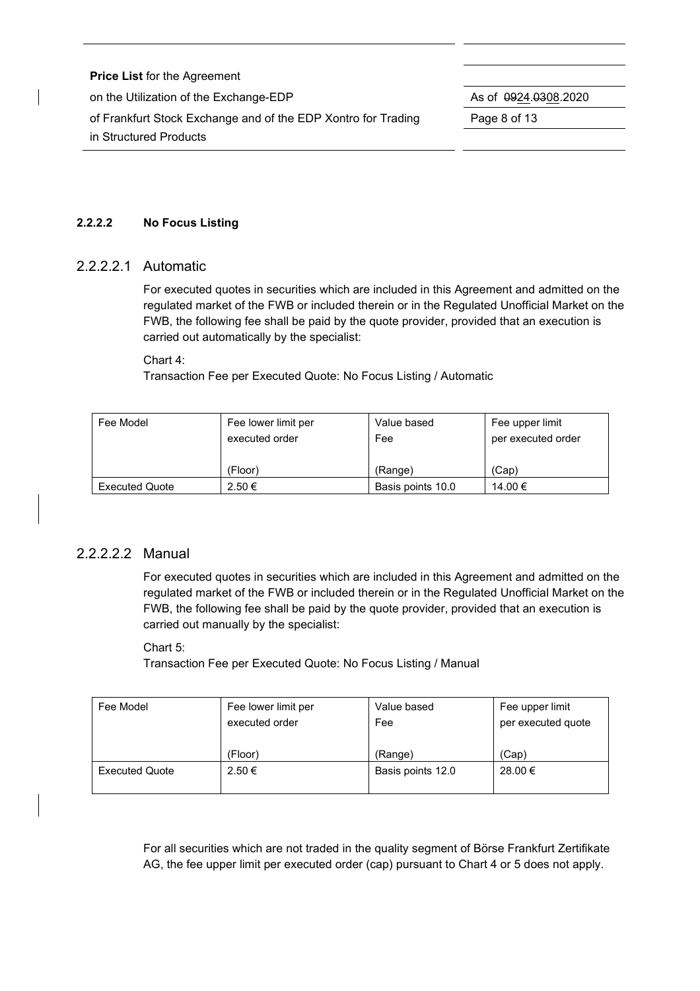| <b>Price List for the Agreement</b>                           |                                       |
|---------------------------------------------------------------|---------------------------------------|
| on the Utilization of the Exchange-EDP                        | As of $\sqrt{0.00000}$ 0924.0308.2020 |
| of Frankfurt Stock Exchange and of the EDP Xontro for Trading | Page 8 of 13                          |
| in Structured Products                                        |                                       |

## **2.2.2.2 No Focus Listing**

## 2.2.2.2.1 Automatic

For executed quotes in securities which are included in this Agreement and admitted on the regulated market of the FWB or included therein or in the Regulated Unofficial Market on the FWB, the following fee shall be paid by the quote provider, provided that an execution is carried out automatically by the specialist:

#### Chart 4:

Transaction Fee per Executed Quote: No Focus Listing / Automatic

| Fee Model             | Fee lower limit per<br>executed order | Value based<br>Fee | Fee upper limit<br>per executed order |  |
|-----------------------|---------------------------------------|--------------------|---------------------------------------|--|
|                       | (Floor)                               | (Range)            | (Cap)                                 |  |
| <b>Executed Quote</b> | 2.50 €                                | Basis points 10.0  | 14.00 €                               |  |

# 2.2.2.2.2 Manual

For executed quotes in securities which are included in this Agreement and admitted on the regulated market of the FWB or included therein or in the Regulated Unofficial Market on the FWB, the following fee shall be paid by the quote provider, provided that an execution is carried out manually by the specialist:

Chart 5:

Transaction Fee per Executed Quote: No Focus Listing / Manual

|                   | Fee upper limit    |  |
|-------------------|--------------------|--|
| Fee               | per executed quote |  |
|                   |                    |  |
| (Range)           | (Cap)              |  |
| Basis points 12.0 | 28.00 €            |  |
|                   |                    |  |

For all securities which are not traded in the quality segment of Börse Frankfurt Zertifikate AG, the fee upper limit per executed order (cap) pursuant to Chart 4 or 5 does not apply.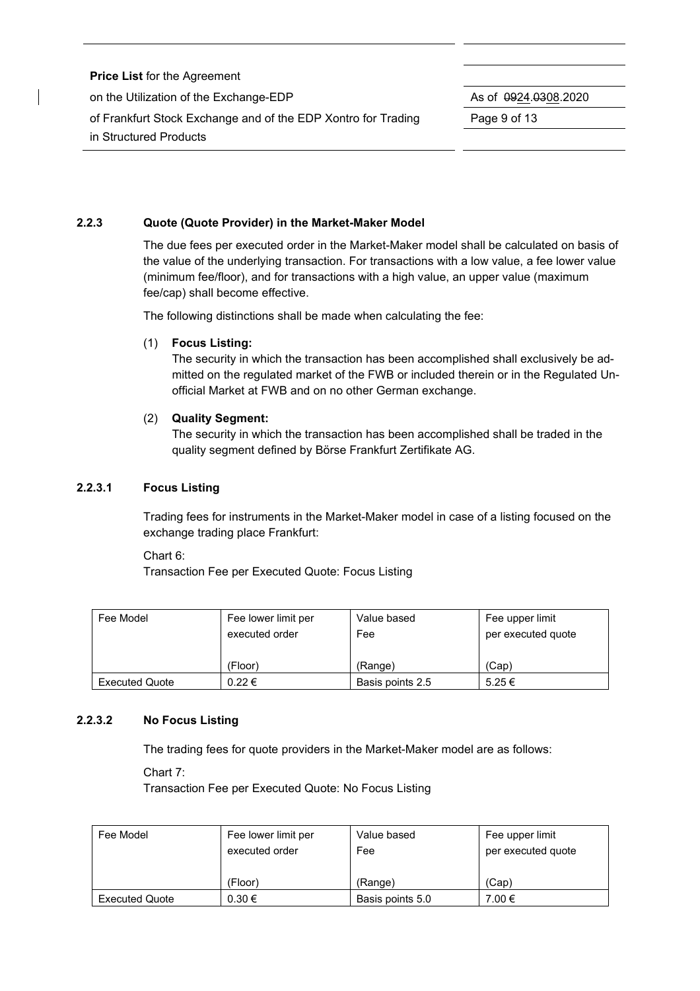| <b>Price List for the Agreement</b>                           |              |  |  |  |
|---------------------------------------------------------------|--------------|--|--|--|
| on the Utilization of the Exchange-EDP                        |              |  |  |  |
| of Frankfurt Stock Exchange and of the EDP Xontro for Trading | Page 9 of 13 |  |  |  |
| in Structured Products                                        |              |  |  |  |

#### **2.2.3 Quote (Quote Provider) in the Market-Maker Model**

The due fees per executed order in the Market-Maker model shall be calculated on basis of the value of the underlying transaction. For transactions with a low value, a fee lower value (minimum fee/floor), and for transactions with a high value, an upper value (maximum fee/cap) shall become effective.

The following distinctions shall be made when calculating the fee:

#### (1) **Focus Listing:**

The security in which the transaction has been accomplished shall exclusively be admitted on the regulated market of the FWB or included therein or in the Regulated Unofficial Market at FWB and on no other German exchange.

#### (2) **Quality Segment:**

The security in which the transaction has been accomplished shall be traded in the quality segment defined by Börse Frankfurt Zertifikate AG.

#### **2.2.3.1 Focus Listing**

Trading fees for instruments in the Market-Maker model in case of a listing focused on the exchange trading place Frankfurt:

Chart 6:

Transaction Fee per Executed Quote: Focus Listing

| Fee Model             | Fee lower limit per   | Value based      | Fee upper limit    |  |
|-----------------------|-----------------------|------------------|--------------------|--|
|                       | executed order<br>Fee |                  | per executed quote |  |
|                       |                       |                  |                    |  |
|                       | (Floor)               | (Range)          | (Cap)              |  |
| <b>Executed Quote</b> | $0.22 \in$            | Basis points 2.5 | $5.25 \in$         |  |

#### **2.2.3.2 No Focus Listing**

The trading fees for quote providers in the Market-Maker model are as follows:

Chart 7:

Transaction Fee per Executed Quote: No Focus Listing

| Fee Model             | Fee lower limit per<br>executed order | Value based<br>Fee | Fee upper limit<br>per executed quote |  |
|-----------------------|---------------------------------------|--------------------|---------------------------------------|--|
|                       | (Floor)                               | (Range)            | (Cap)                                 |  |
| <b>Executed Quote</b> | $0.30 \in$                            | Basis points 5.0   | 7.00 €                                |  |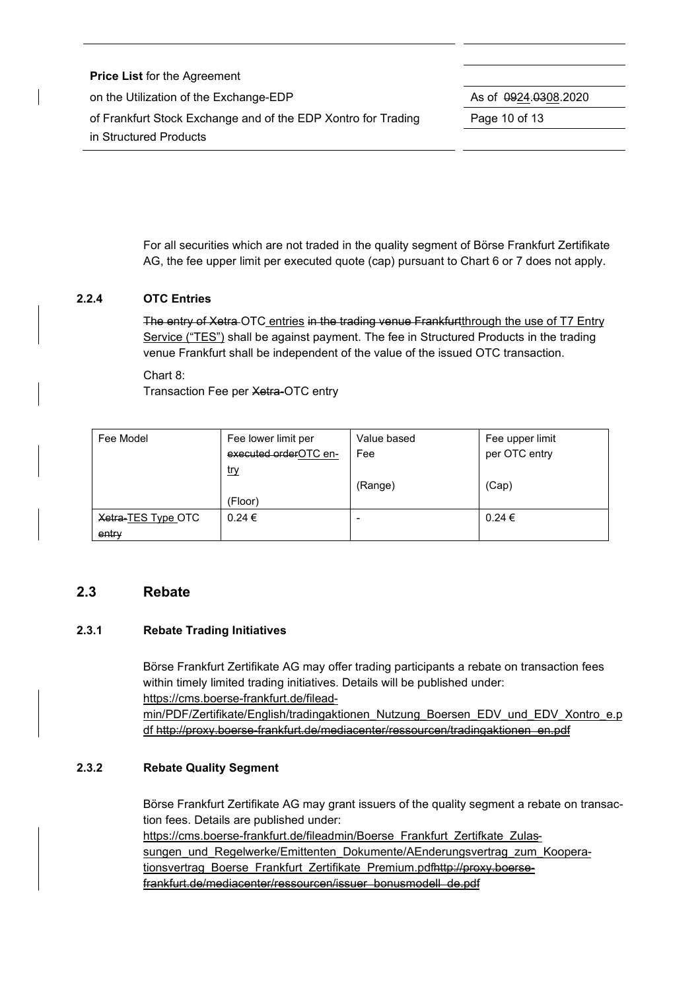| <b>Price List for the Agreement</b>                           |                              |
|---------------------------------------------------------------|------------------------------|
| on the Utilization of the Exchange-EDP                        | As of $\sqrt{0.0308}$ , 2020 |
| of Frankfurt Stock Exchange and of the EDP Xontro for Trading | Page 10 of 13                |
| in Structured Products                                        |                              |

For all securities which are not traded in the quality segment of Börse Frankfurt Zertifikate AG, the fee upper limit per executed quote (cap) pursuant to Chart 6 or 7 does not apply.

## **2.2.4 OTC Entries**

The entry of Xetra OTC entries in the trading venue Frankfurtthrough the use of T7 Entry Service ("TES") shall be against payment. The fee in Structured Products in the trading venue Frankfurt shall be independent of the value of the issued OTC transaction.

#### Chart 8:

Transaction Fee per Xetra-OTC entry

| Fee Model          | Fee lower limit per   | Value based | Fee upper limit |
|--------------------|-----------------------|-------------|-----------------|
|                    | executed orderOTC en- | Fee         | per OTC entry   |
|                    | <u>try</u>            |             |                 |
|                    |                       | (Range)     | (Cap)           |
|                    | (Floor)               |             |                 |
| Xetra-TES Type OTC | $0.24 \in$            |             | $0.24 \in$      |
| entry              |                       |             |                 |

#### **2.3 Rebate**

#### **2.3.1 Rebate Trading Initiatives**

Börse Frankfurt Zertifikate AG may offer trading participants a rebate on transaction fees within timely limited trading initiatives. Details will be published under: <https://cms.boerse-frankfurt.de/filead>min/PDF/Zertifikate/English/tradingaktionen\_Nutzung\_Boersen\_EDV\_und\_EDV\_Xontro\_e.p df [http://proxy.boerse-frankfurt.de/mediacenter/ressourcen/tradingaktionen\\_en.pdf](http://proxy.boerse-frankfurt.de/mediacenter/ressourcen/tradingaktionen_en.pdf)

#### **2.3.2 Rebate Quality Segment**

Börse Frankfurt Zertifikate AG may grant issuers of the quality segment a rebate on transaction fees. Details are published under: [https://cms.boerse-frankfurt.de/fileadmin/Boerse\\_Frankfurt\\_Zertifkate\\_Zulas](https://cms.boerse-frankfurt.de/fileadmin/Boerse_Frankfurt_Zertifkate_Zulas)-

sungen und Regelwerke/Emittenten Dokumente/AEnderungsvertrag zum Kooperationsvertrag\_Boerse\_Frankfurt\_Zertifikate\_Premium.pdf<http://proxy.boerse>frankfurt.de/mediacenter/ressourcen/issuer\_bonusmodell\_de.pdf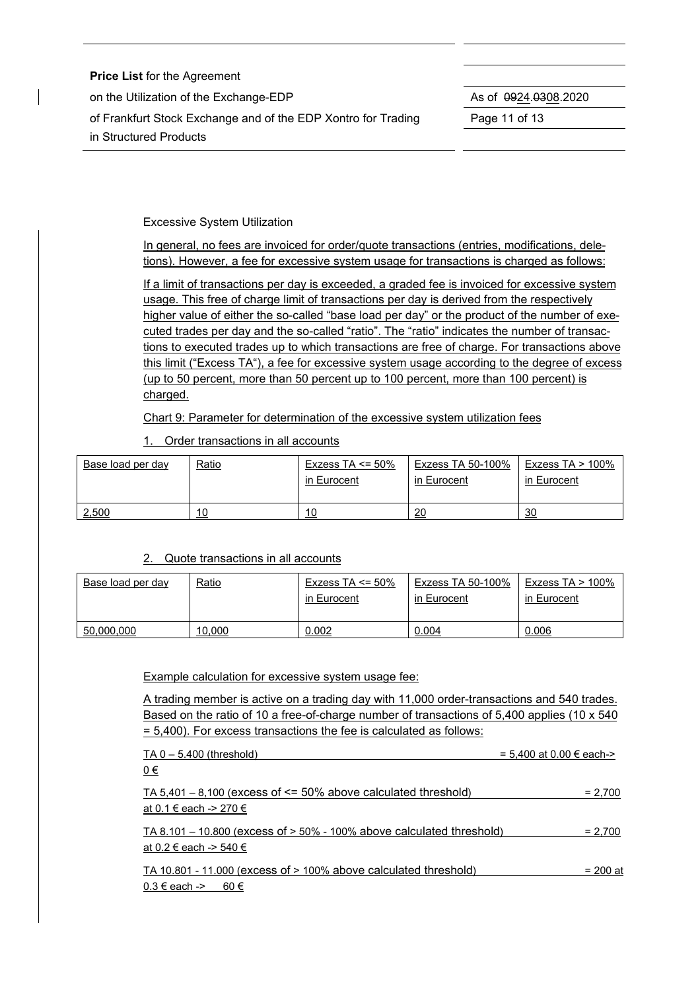| <b>Price List for the Agreement</b>                           |                              |
|---------------------------------------------------------------|------------------------------|
| on the Utilization of the Exchange-EDP                        | As of $\sqrt{0.0308}$ , 2020 |
| of Frankfurt Stock Exchange and of the EDP Xontro for Trading | Page 11 of 13                |
| in Structured Products                                        |                              |

Excessive System Utilization

In general, no fees are invoiced for order/quote transactions (entries, modifications, deletions). However, a fee for excessive system usage for transactions is charged as follows:

If a limit of transactions per day is exceeded, a graded fee is invoiced for excessive system usage. This free of charge limit of transactions per day is derived from the respectively higher value of either the so-called "base load per day" or the product of the number of executed trades per day and the so-called "ratio". The "ratio" indicates the number of transactions to executed trades up to which transactions are free of charge. For transactions above this limit ("Excess TA"), a fee for excessive system usage according to the degree of excess (up to 50 percent, more than 50 percent up to 100 percent, more than 100 percent) is charged.

Chart 9: Parameter for determination of the excessive system utilization fees

1. Order transactions in all accounts

| Base load per day | <u>Ratio</u> | Exzess TA $\leq$ 50%<br>in Eurocent | Exzess TA 50-100%<br>in Eurocent | Exzess TA $> 100\%$<br>in Eurocent |
|-------------------|--------------|-------------------------------------|----------------------------------|------------------------------------|
| 2,500             | 10           | 10                                  | 20                               | 30                                 |

#### 2. Quote transactions in all accounts

| Base load per day | <u>Ratio</u> | Exzess TA <= $50\%$<br>in Eurocent | Exzess TA 50-100%<br>in Eurocent | Exzess TA $> 100\%$<br>in Eurocent |
|-------------------|--------------|------------------------------------|----------------------------------|------------------------------------|
| 50,000,000        | 10,000       | 0.002                              | 0.004                            | 0.006                              |

Example calculation for excessive system usage fee:

A trading member is active on a trading day with 11,000 order-transactions and 540 trades. Based on the ratio of 10 a free-of-charge number of transactions of 5,400 applies (10 x 540 = 5,400). For excess transactions the fee is calculated as follows:

| $TA 0 - 5.400$ (threshold)                                                                           | = 5,400 at 0.00 € each-> |
|------------------------------------------------------------------------------------------------------|--------------------------|
| <u>0€</u>                                                                                            |                          |
| TA $5,401 - 8,100$ (excess of $\leq 50\%$ above calculated threshold)<br>at 0.1 € each -> 270 €      | $= 2,700$                |
| $TA 8.101 - 10.800$ (excess of $> 50\%$ - 100% above calculated threshold)<br>at 0.2 € each -> 540 € | $= 2,700$                |
| TA 10.801 - 11.000 (excess of $>$ 100% above calculated threshold)<br>$0.3 \in$ each -> 60 $\in$     | = 200 at                 |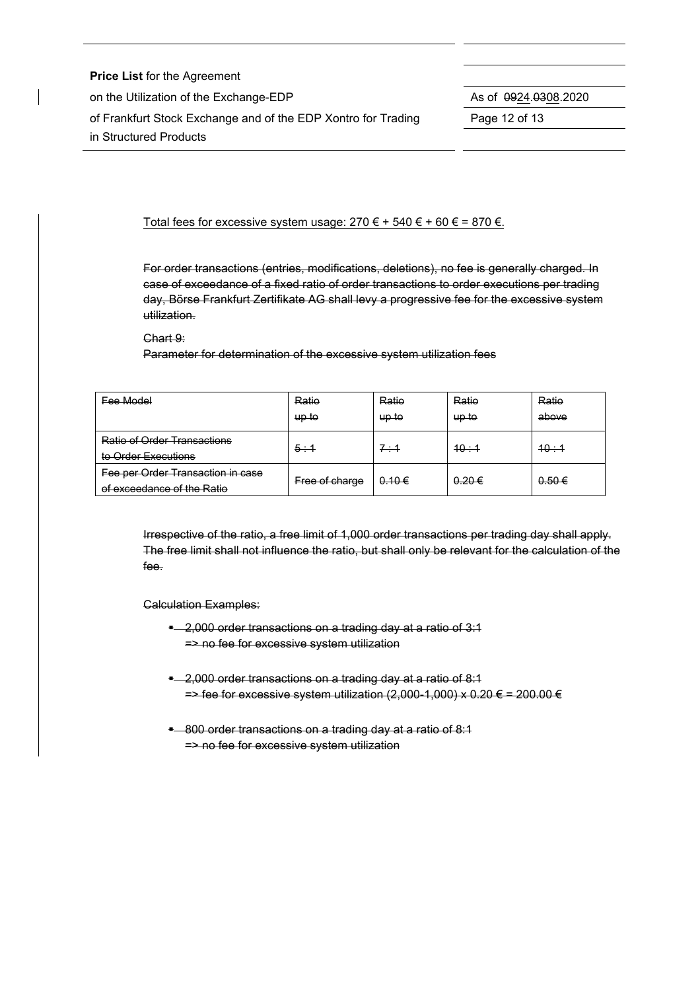**Price List** for the Agreement on the Utilization of the Exchange-EDP As of 0924.0308.2020 of Frankfurt Stock Exchange and of the EDP Xontro for Trading Page 12 of 13 in Structured Products

Total fees for excessive system usage:  $270 \epsilon + 540 \epsilon + 60 \epsilon = 870 \epsilon$ .

For order transactions (entries, modifications, deletions), no fee is generally charged. In case of exceedance of a fixed ratio of order transactions to order executions per trading day, Börse Frankfurt Zertifikate AG shall levy a progressive fee for the excessive system utilization.

Chart 9:

Parameter for determination of the excessive system utilization fees

| Fee Model                                                       | Ratio<br>up to | Ratio<br>up to | Ratio<br>up to | Ratio<br>above |
|-----------------------------------------------------------------|----------------|----------------|----------------|----------------|
| <b>Ratio of Order Transactions</b><br>to Order Executions       | 5:1            | 7:1            | 10:1           | 40:4           |
| Fee per Order Transaction in case<br>of exceedance of the Ratio | Free of charge | 0.10€          | 0.20€          | $0.50 \in$     |

Irrespective of the ratio, a free limit of 1,000 order transactions per trading day shall apply. The free limit shall not influence the ratio, but shall only be relevant for the calculation of the fee.

Calculation Examples:

- **E** 2,000 order transactions on a trading day at a ratio of 3:1 => no fee for excessive system utilization
- **E** 2,000 order transactions on a trading day at a ratio of 8:1  $\Rightarrow$  fee for excessive system utilization (2,000-1,000) x 0.20 € = 200.00 €
- \* 800 order transactions on a trading day at a ratio of 8:1 => no fee for excessive system utilization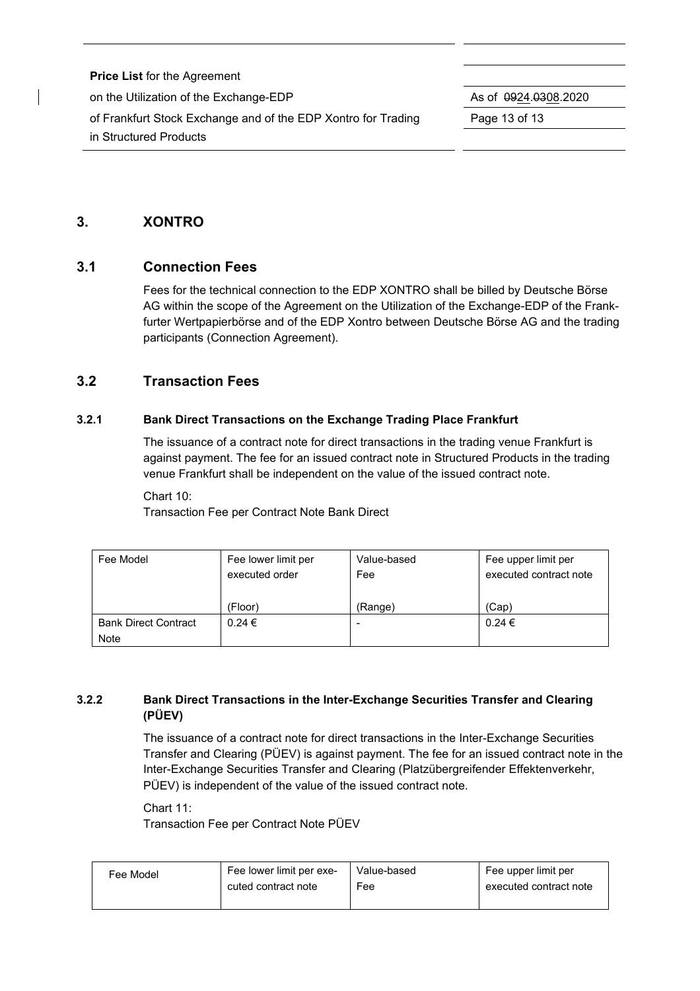| <b>Price List for the Agreement</b>                           |                              |
|---------------------------------------------------------------|------------------------------|
| on the Utilization of the Exchange-EDP                        | As of $\sqrt{0.0308}$ , 2020 |
| of Frankfurt Stock Exchange and of the EDP Xontro for Trading | Page 13 of 13                |
| in Structured Products                                        |                              |

# **3. XONTRO**

# **3.1 Connection Fees**

Fees for the technical connection to the EDP XONTRO shall be billed by Deutsche Börse AG within the scope of the Agreement on the Utilization of the Exchange-EDP of the Frankfurter Wertpapierbörse and of the EDP Xontro between Deutsche Börse AG and the trading participants (Connection Agreement).

# **3.2 Transaction Fees**

#### **3.2.1 Bank Direct Transactions on the Exchange Trading Place Frankfurt**

The issuance of a contract note for direct transactions in the trading venue Frankfurt is against payment. The fee for an issued contract note in Structured Products in the trading venue Frankfurt shall be independent on the value of the issued contract note.

#### Chart 10:

Transaction Fee per Contract Note Bank Direct

| Fee Model                   | Fee lower limit per | Value-based | Fee upper limit per    |
|-----------------------------|---------------------|-------------|------------------------|
|                             | executed order      | Fee         | executed contract note |
|                             |                     |             |                        |
|                             | (Floor)             | (Range)     | (Cap)                  |
| <b>Bank Direct Contract</b> | $0.24 \in$          |             | $0.24 \in$             |
| Note                        |                     |             |                        |

# **3.2.2 Bank Direct Transactions in the Inter-Exchange Securities Transfer and Clearing (PÜEV)**

The issuance of a contract note for direct transactions in the Inter-Exchange Securities Transfer and Clearing (PÜEV) is against payment. The fee for an issued contract note in the Inter-Exchange Securities Transfer and Clearing (Platzübergreifender Effektenverkehr, PÜEV) is independent of the value of the issued contract note.

Chart 11: Transaction Fee per Contract Note PÜEV

| Fee Model | Fee lower limit per exe- | Value-based | Fee upper limit per    |
|-----------|--------------------------|-------------|------------------------|
|           | cuted contract note      | Fee         | executed contract note |
|           |                          |             |                        |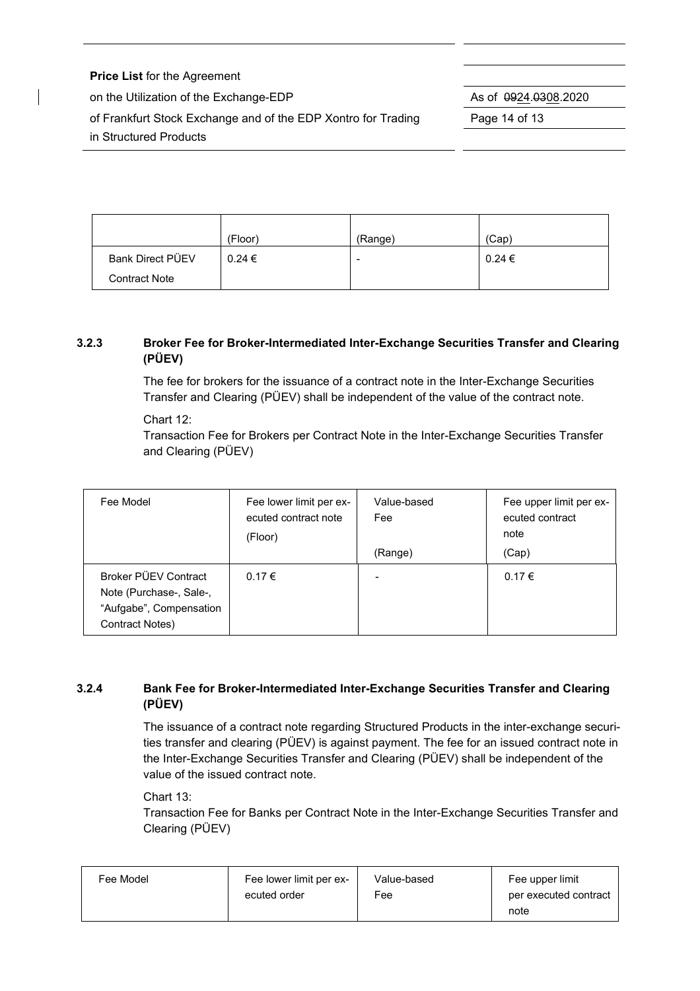| <b>Price List for the Agreement</b>                           |                              |
|---------------------------------------------------------------|------------------------------|
| on the Utilization of the Exchange-EDP                        | As of $\sqrt{0.0308}$ , 2020 |
| of Frankfurt Stock Exchange and of the EDP Xontro for Trading | Page 14 of 13                |
| in Structured Products                                        |                              |
|                                                               |                              |

|                         | (Floor)    | (Range)                  | (Cap)      |
|-------------------------|------------|--------------------------|------------|
| <b>Bank Direct PÜEV</b> | $0.24 \in$ | $\overline{\phantom{a}}$ | $0.24 \in$ |
| <b>Contract Note</b>    |            |                          |            |

# **3.2.3 Broker Fee for Broker-Intermediated Inter-Exchange Securities Transfer and Clearing (PÜEV)**

The fee for brokers for the issuance of a contract note in the Inter-Exchange Securities Transfer and Clearing (PÜEV) shall be independent of the value of the contract note.

Chart 12:

Transaction Fee for Brokers per Contract Note in the Inter-Exchange Securities Transfer and Clearing (PÜEV)

| Fee Model                                                                                     | Fee lower limit per ex-<br>ecuted contract note<br>(Floor) | Value-based<br>Fee | Fee upper limit per ex-<br>ecuted contract<br>note |
|-----------------------------------------------------------------------------------------------|------------------------------------------------------------|--------------------|----------------------------------------------------|
|                                                                                               |                                                            | (Range)            | (Cap)                                              |
| Broker PÜEV Contract<br>Note (Purchase-, Sale-,<br>"Aufgabe", Compensation<br>Contract Notes) | $0.17 \in$                                                 | $\qquad \qquad$    | 0.17€                                              |

# **3.2.4 Bank Fee for Broker-Intermediated Inter-Exchange Securities Transfer and Clearing (PÜEV)**

The issuance of a contract note regarding Structured Products in the inter-exchange securities transfer and clearing (PÜEV) is against payment. The fee for an issued contract note in the Inter-Exchange Securities Transfer and Clearing (PÜEV) shall be independent of the value of the issued contract note.

## Chart 13:

Transaction Fee for Banks per Contract Note in the Inter-Exchange Securities Transfer and Clearing (PÜEV)

| Fee Model | Fee lower limit per ex- | Value-based | Fee upper limit       |
|-----------|-------------------------|-------------|-----------------------|
|           | ecuted order            | Fee         | per executed contract |
|           |                         |             | note                  |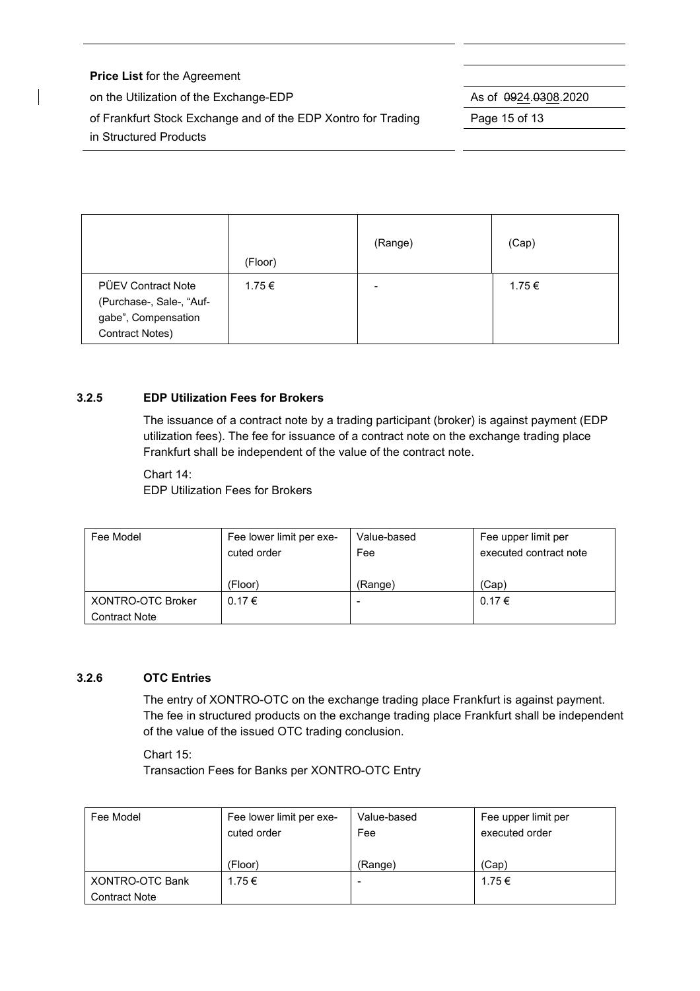| <b>Price List for the Agreement</b>                           |                      |
|---------------------------------------------------------------|----------------------|
| on the Utilization of the Exchange-EDP                        | As of 0924.0308.2020 |
| of Frankfurt Stock Exchange and of the EDP Xontro for Trading | Page 15 of 13        |
| in Structured Products                                        |                      |
|                                                               |                      |

|                                                                                                 | (Floor) | (Range) | (Cap)  |
|-------------------------------------------------------------------------------------------------|---------|---------|--------|
| <b>PÜEV Contract Note</b><br>(Purchase-, Sale-, "Auf-<br>gabe", Compensation<br>Contract Notes) | 1.75 €  | -       | 1.75 € |

#### **3.2.5 EDP Utilization Fees for Brokers**

The issuance of a contract note by a trading participant (broker) is against payment (EDP utilization fees). The fee for issuance of a contract note on the exchange trading place Frankfurt shall be independent of the value of the contract note.

Chart 14: EDP Utilization Fees for Brokers

| Fee Model            | Fee lower limit per exe- | Value-based | Fee upper limit per    |
|----------------------|--------------------------|-------------|------------------------|
|                      | cuted order              | Fee         | executed contract note |
|                      |                          |             |                        |
|                      | (Floor)                  | (Range)     | (Cap)                  |
| XONTRO-OTC Broker    | 0.17€                    | $\,$        | 0.17€                  |
| <b>Contract Note</b> |                          |             |                        |

## **3.2.6 OTC Entries**

The entry of XONTRO-OTC on the exchange trading place Frankfurt is against payment. The fee in structured products on the exchange trading place Frankfurt shall be independent of the value of the issued OTC trading conclusion.

Chart 15: Transaction Fees for Banks per XONTRO-OTC Entry

| Fee Model              | Fee lower limit per exe- | Value-based              | Fee upper limit per |
|------------------------|--------------------------|--------------------------|---------------------|
|                        | cuted order              | Fee                      | executed order      |
|                        |                          |                          |                     |
|                        | (Floor)                  | (Range)                  | (Cap)               |
| <b>XONTRO-OTC Bank</b> | 1.75 €                   | $\overline{\phantom{0}}$ | 1.75 €              |
| <b>Contract Note</b>   |                          |                          |                     |